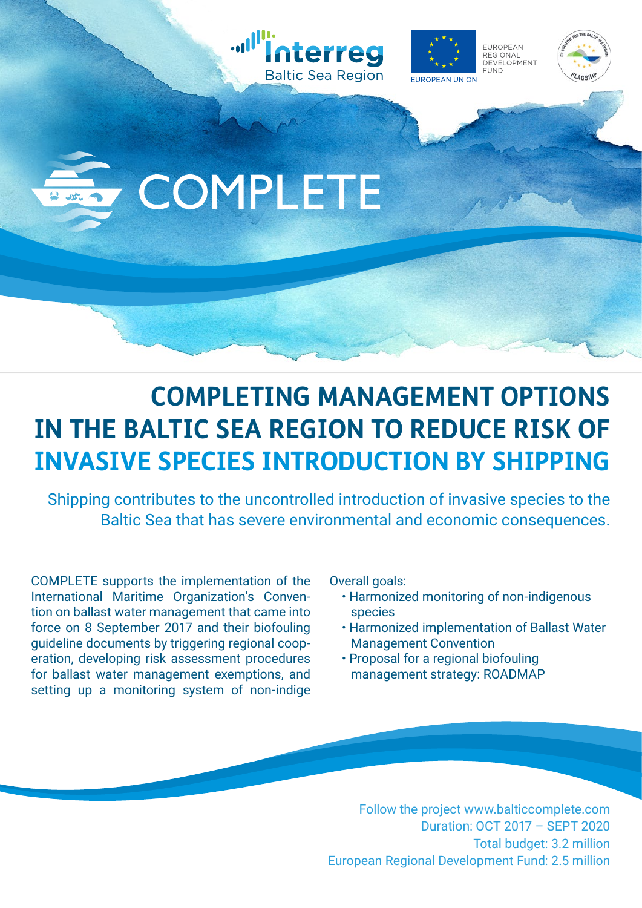







## **COMPLETING MANAGEMENT OPTIONS IN THE BALTIC SEA REGION TO REDUCE RISK OF INVASIVE SPECIES INTRODUCTION BY SHIPPING**

Shipping contributes to the uncontrolled introduction of invasive species to the Baltic Sea that has severe environmental and economic consequences.

COMPLETE supports the implementation of the International Maritime Organization's Convention on ballast water management that came into force on 8 September 2017 and their biofouling guideline documents by triggering regional cooperation, developing risk assessment procedures for ballast water management exemptions, and setting up a monitoring system of non-indige Overall goals:

- Harmonized monitoring of non-indigenous species
- Harmonized implementation of Ballast Water Management Convention
- Proposal for a regional biofouling management strategy: ROADMAP

Follow the project www.balticcomplete.com Duration: OCT 2017 – SEPT 2020 Total budget: 3.2 million European Regional Development Fund: 2.5 million